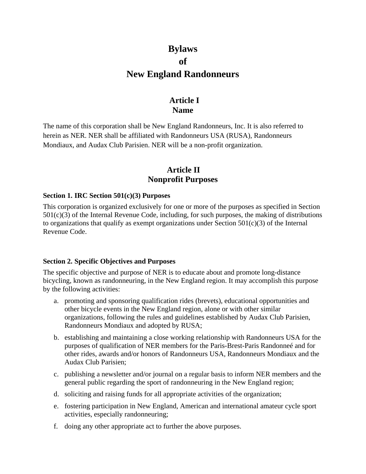# **Bylaws of New England Randonneurs**

## **Article I Name**

The name of this corporation shall be New England Randonneurs, Inc. It is also referred to herein as NER. NER shall be affiliated with Randonneurs USA (RUSA), Randonneurs Mondiaux, and Audax Club Parisien. NER will be a non-profit organization.

## **Article II Nonprofit Purposes**

#### **Section 1. IRC Section 501(c)(3) Purposes**

This corporation is organized exclusively for one or more of the purposes as specified in Section  $501(c)(3)$  of the Internal Revenue Code, including, for such purposes, the making of distributions to organizations that qualify as exempt organizations under Section  $501(c)(3)$  of the Internal Revenue Code.

#### **Section 2. Specific Objectives and Purposes**

The specific objective and purpose of NER is to educate about and promote long-distance bicycling, known as randonneuring, in the New England region. It may accomplish this purpose by the following activities:

- a. promoting and sponsoring qualification rides (brevets), educational opportunities and other bicycle events in the New England region, alone or with other similar organizations, following the rules and guidelines established by Audax Club Parisien, Randonneurs Mondiaux and adopted by RUSA;
- b. establishing and maintaining a close working relationship with Randonneurs USA for the purposes of qualification of NER members for the Paris-Brest-Paris Randonneé and for other rides, awards and/or honors of Randonneurs USA, Randonneurs Mondiaux and the Audax Club Parisien;
- c. publishing a newsletter and/or journal on a regular basis to inform NER members and the general public regarding the sport of randonneuring in the New England region;
- d. soliciting and raising funds for all appropriate activities of the organization;
- e. fostering participation in New England, American and international amateur cycle sport activities, especially randonneuring;
- f. doing any other appropriate act to further the above purposes.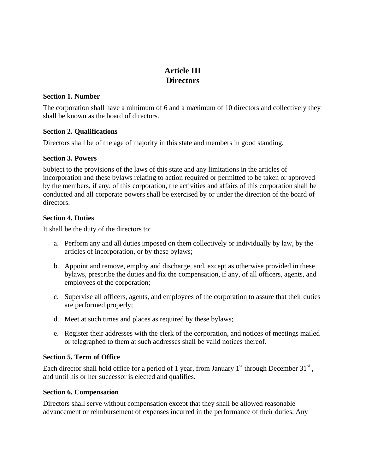## **Article III Directors**

#### **Section 1. Number**

The corporation shall have a minimum of 6 and a maximum of 10 directors and collectively they shall be known as the board of directors.

#### **Section 2. Qualifications**

Directors shall be of the age of majority in this state and members in good standing.

#### **Section 3. Powers**

Subject to the provisions of the laws of this state and any limitations in the articles of incorporation and these bylaws relating to action required or permitted to be taken or approved by the members, if any, of this corporation, the activities and affairs of this corporation shall be conducted and all corporate powers shall be exercised by or under the direction of the board of directors.

#### **Section 4. Duties**

It shall be the duty of the directors to:

- a. Perform any and all duties imposed on them collectively or individually by law, by the articles of incorporation, or by these bylaws;
- b. Appoint and remove, employ and discharge, and, except as otherwise provided in these bylaws, prescribe the duties and fix the compensation, if any, of all officers, agents, and employees of the corporation;
- c. Supervise all officers, agents, and employees of the corporation to assure that their duties are performed properly;
- d. Meet at such times and places as required by these bylaws;
- e. Register their addresses with the clerk of the corporation, and notices of meetings mailed or telegraphed to them at such addresses shall be valid notices thereof.

## **Section 5. Term of Office**

Each director shall hold office for a period of 1 year, from January  $1<sup>st</sup>$  through December  $31<sup>st</sup>$ , and until his or her successor is elected and qualifies.

#### **Section 6. Compensation**

Directors shall serve without compensation except that they shall be allowed reasonable advancement or reimbursement of expenses incurred in the performance of their duties. Any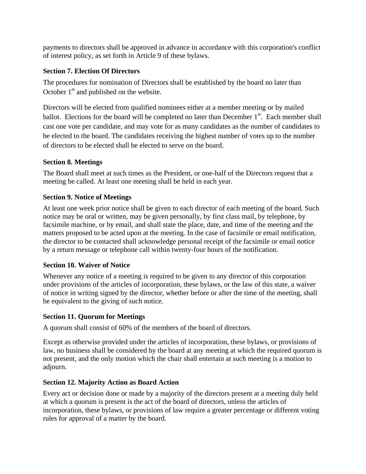payments to directors shall be approved in advance in accordance with this corporation's conflict of interest policy, as set forth in Article 9 of these bylaws.

## **Section 7. Election Of Directors**

The procedures for nomination of Directors shall be established by the board no later than October  $1<sup>st</sup>$  and published on the website.

Directors will be elected from qualified nominees either at a member meeting or by mailed ballot. Elections for the board will be completed no later than December 1<sup>st</sup>. Each member shall cast one vote per candidate, and may vote for as many candidates as the number of candidates to be elected to the board. The candidates receiving the highest number of votes up to the number of directors to be elected shall be elected to serve on the board.

## **Section 8. Meetings**

The Board shall meet at such times as the President, or one-half of the Directors request that a meeting be called. At least one meeting shall be held in each year.

## **Section 9. Notice of Meetings**

At least one week prior notice shall be given to each director of each meeting of the board. Such notice may be oral or written, may be given personally, by first class mail, by telephone, by facsimile machine, or by email, and shall state the place, date, and time of the meeting and the matters proposed to be acted upon at the meeting. In the case of facsimile or email notification, the director to be contacted shall acknowledge personal receipt of the facsimile or email notice by a return message or telephone call within twenty-four hours of the notification.

## **Section 10. Waiver of Notice**

Whenever any notice of a meeting is required to be given to any director of this corporation under provisions of the articles of incorporation, these bylaws, or the law of this state, a waiver of notice in writing signed by the director, whether before or after the time of the meeting, shall be equivalent to the giving of such notice.

## **Section 11. Quorum for Meetings**

A quorum shall consist of 60% of the members of the board of directors.

Except as otherwise provided under the articles of incorporation, these bylaws, or provisions of law, no business shall be considered by the board at any meeting at which the required quorum is not present, and the only motion which the chair shall entertain at such meeting is a motion to adjourn.

## **Section 12. Majority Action as Board Action**

Every act or decision done or made by a majority of the directors present at a meeting duly held at which a quorum is present is the act of the board of directors, unless the articles of incorporation, these bylaws, or provisions of law require a greater percentage or different voting rules for approval of a matter by the board.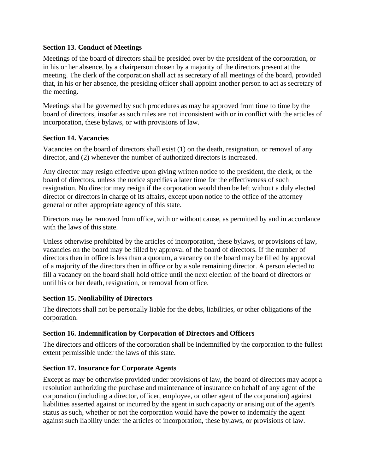## **Section 13. Conduct of Meetings**

Meetings of the board of directors shall be presided over by the president of the corporation, or in his or her absence, by a chairperson chosen by a majority of the directors present at the meeting. The clerk of the corporation shall act as secretary of all meetings of the board, provided that, in his or her absence, the presiding officer shall appoint another person to act as secretary of the meeting.

Meetings shall be governed by such procedures as may be approved from time to time by the board of directors, insofar as such rules are not inconsistent with or in conflict with the articles of incorporation, these bylaws, or with provisions of law.

#### **Section 14. Vacancies**

Vacancies on the board of directors shall exist (1) on the death, resignation, or removal of any director, and (2) whenever the number of authorized directors is increased.

Any director may resign effective upon giving written notice to the president, the clerk, or the board of directors, unless the notice specifies a later time for the effectiveness of such resignation. No director may resign if the corporation would then be left without a duly elected director or directors in charge of its affairs, except upon notice to the office of the attorney general or other appropriate agency of this state.

Directors may be removed from office, with or without cause, as permitted by and in accordance with the laws of this state.

Unless otherwise prohibited by the articles of incorporation, these bylaws, or provisions of law, vacancies on the board may be filled by approval of the board of directors. If the number of directors then in office is less than a quorum, a vacancy on the board may be filled by approval of a majority of the directors then in office or by a sole remaining director. A person elected to fill a vacancy on the board shall hold office until the next election of the board of directors or until his or her death, resignation, or removal from office.

#### **Section 15. Nonliability of Directors**

The directors shall not be personally liable for the debts, liabilities, or other obligations of the corporation.

#### **Section 16. Indemnification by Corporation of Directors and Officers**

The directors and officers of the corporation shall be indemnified by the corporation to the fullest extent permissible under the laws of this state.

## **Section 17. Insurance for Corporate Agents**

Except as may be otherwise provided under provisions of law, the board of directors may adopt a resolution authorizing the purchase and maintenance of insurance on behalf of any agent of the corporation (including a director, officer, employee, or other agent of the corporation) against liabilities asserted against or incurred by the agent in such capacity or arising out of the agent's status as such, whether or not the corporation would have the power to indemnify the agent against such liability under the articles of incorporation, these bylaws, or provisions of law.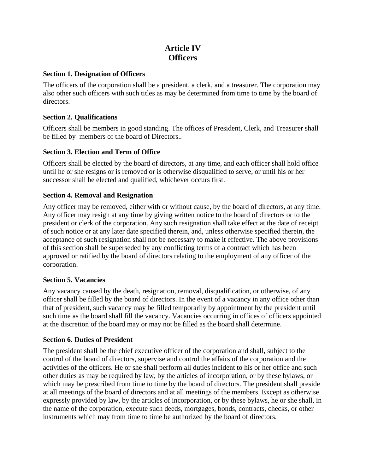## **Article IV Officers**

### **Section 1. Designation of Officers**

The officers of the corporation shall be a president, a clerk, and a treasurer. The corporation may also other such officers with such titles as may be determined from time to time by the board of directors.

### **Section 2. Qualifications**

Officers shall be members in good standing. The offices of President, Clerk, and Treasurer shall be filled by members of the board of Directors..

#### **Section 3. Election and Term of Office**

Officers shall be elected by the board of directors, at any time, and each officer shall hold office until he or she resigns or is removed or is otherwise disqualified to serve, or until his or her successor shall be elected and qualified, whichever occurs first.

#### **Section 4. Removal and Resignation**

Any officer may be removed, either with or without cause, by the board of directors, at any time. Any officer may resign at any time by giving written notice to the board of directors or to the president or clerk of the corporation. Any such resignation shall take effect at the date of receipt of such notice or at any later date specified therein, and, unless otherwise specified therein, the acceptance of such resignation shall not be necessary to make it effective. The above provisions of this section shall be superseded by any conflicting terms of a contract which has been approved or ratified by the board of directors relating to the employment of any officer of the corporation.

#### **Section 5. Vacancies**

Any vacancy caused by the death, resignation, removal, disqualification, or otherwise, of any officer shall be filled by the board of directors. In the event of a vacancy in any office other than that of president, such vacancy may be filled temporarily by appointment by the president until such time as the board shall fill the vacancy. Vacancies occurring in offices of officers appointed at the discretion of the board may or may not be filled as the board shall determine.

#### **Section 6. Duties of President**

The president shall be the chief executive officer of the corporation and shall, subject to the control of the board of directors, supervise and control the affairs of the corporation and the activities of the officers. He or she shall perform all duties incident to his or her office and such other duties as may be required by law, by the articles of incorporation, or by these bylaws, or which may be prescribed from time to time by the board of directors. The president shall preside at all meetings of the board of directors and at all meetings of the members. Except as otherwise expressly provided by law, by the articles of incorporation, or by these bylaws, he or she shall, in the name of the corporation, execute such deeds, mortgages, bonds, contracts, checks, or other instruments which may from time to time be authorized by the board of directors.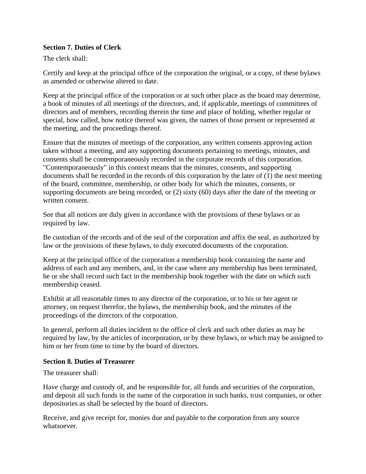## **Section 7. Duties of Clerk**

The clerk shall:

Certify and keep at the principal office of the corporation the original, or a copy, of these bylaws as amended or otherwise altered to date.

Keep at the principal office of the corporation or at such other place as the board may determine, a book of minutes of all meetings of the directors, and, if applicable, meetings of committees of directors and of members, recording therein the time and place of holding, whether regular or special, how called, how notice thereof was given, the names of those present or represented at the meeting, and the proceedings thereof.

Ensure that the minutes of meetings of the corporation, any written consents approving action taken without a meeting, and any supporting documents pertaining to meetings, minutes, and consents shall be contemporaneously recorded in the corporate records of this corporation. "Contemporaneously" in this context means that the minutes, consents, and supporting documents shall be recorded in the records of this corporation by the later of (1) the next meeting of the board, committee, membership, or other body for which the minutes, consents, or supporting documents are being recorded, or (2) sixty (60) days after the date of the meeting or written consent.

See that all notices are duly given in accordance with the provisions of these bylaws or as required by law.

Be custodian of the records and of the seal of the corporation and affix the seal, as authorized by law or the provisions of these bylaws, to duly executed documents of the corporation.

Keep at the principal office of the corporation a membership book containing the name and address of each and any members, and, in the case where any membership has been terminated, he or she shall record such fact in the membership book together with the date on which such membership ceased.

Exhibit at all reasonable times to any director of the corporation, or to his or her agent or attorney, on request therefor, the bylaws, the membership book, and the minutes of the proceedings of the directors of the corporation.

In general, perform all duties incident to the office of clerk and such other duties as may be required by law, by the articles of incorporation, or by these bylaws, or which may be assigned to him or her from time to time by the board of directors.

#### **Section 8. Duties of Treasurer**

The treasurer shall:

Have charge and custody of, and be responsible for, all funds and securities of the corporation, and deposit all such funds in the name of the corporation in such banks, trust companies, or other depositories as shall be selected by the board of directors.

Receive, and give receipt for, monies due and payable to the corporation from any source whatsoever.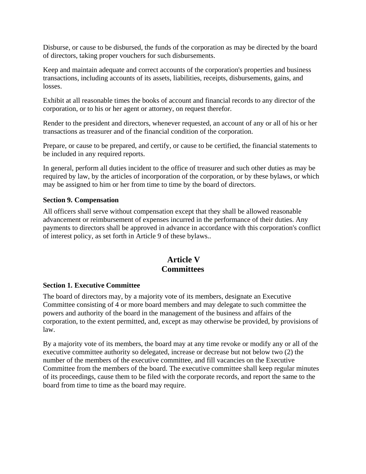Disburse, or cause to be disbursed, the funds of the corporation as may be directed by the board of directors, taking proper vouchers for such disbursements.

Keep and maintain adequate and correct accounts of the corporation's properties and business transactions, including accounts of its assets, liabilities, receipts, disbursements, gains, and losses.

Exhibit at all reasonable times the books of account and financial records to any director of the corporation, or to his or her agent or attorney, on request therefor.

Render to the president and directors, whenever requested, an account of any or all of his or her transactions as treasurer and of the financial condition of the corporation.

Prepare, or cause to be prepared, and certify, or cause to be certified, the financial statements to be included in any required reports.

In general, perform all duties incident to the office of treasurer and such other duties as may be required by law, by the articles of incorporation of the corporation, or by these bylaws, or which may be assigned to him or her from time to time by the board of directors.

#### **Section 9. Compensation**

All officers shall serve without compensation except that they shall be allowed reasonable advancement or reimbursement of expenses incurred in the performance of their duties. Any payments to directors shall be approved in advance in accordance with this corporation's conflict of interest policy, as set forth in Article 9 of these bylaws..

## **Article V Committees**

#### **Section 1. Executive Committee**

The board of directors may, by a majority vote of its members, designate an Executive Committee consisting of 4 or more board members and may delegate to such committee the powers and authority of the board in the management of the business and affairs of the corporation, to the extent permitted, and, except as may otherwise be provided, by provisions of law.

By a majority vote of its members, the board may at any time revoke or modify any or all of the executive committee authority so delegated, increase or decrease but not below two (2) the number of the members of the executive committee, and fill vacancies on the Executive Committee from the members of the board. The executive committee shall keep regular minutes of its proceedings, cause them to be filed with the corporate records, and report the same to the board from time to time as the board may require.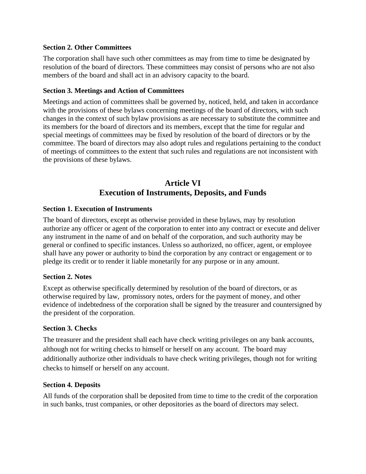#### **Section 2. Other Committees**

The corporation shall have such other committees as may from time to time be designated by resolution of the board of directors. These committees may consist of persons who are not also members of the board and shall act in an advisory capacity to the board.

#### **Section 3. Meetings and Action of Committees**

Meetings and action of committees shall be governed by, noticed, held, and taken in accordance with the provisions of these bylaws concerning meetings of the board of directors, with such changes in the context of such bylaw provisions as are necessary to substitute the committee and its members for the board of directors and its members, except that the time for regular and special meetings of committees may be fixed by resolution of the board of directors or by the committee. The board of directors may also adopt rules and regulations pertaining to the conduct of meetings of committees to the extent that such rules and regulations are not inconsistent with the provisions of these bylaws.

## **Article VI Execution of Instruments, Deposits, and Funds**

#### **Section 1. Execution of Instruments**

The board of directors, except as otherwise provided in these bylaws, may by resolution authorize any officer or agent of the corporation to enter into any contract or execute and deliver any instrument in the name of and on behalf of the corporation, and such authority may be general or confined to specific instances. Unless so authorized, no officer, agent, or employee shall have any power or authority to bind the corporation by any contract or engagement or to pledge its credit or to render it liable monetarily for any purpose or in any amount.

## **Section 2. Notes**

Except as otherwise specifically determined by resolution of the board of directors, or as otherwise required by law, promissory notes, orders for the payment of money, and other evidence of indebtedness of the corporation shall be signed by the treasurer and countersigned by the president of the corporation.

#### **Section 3. Checks**

The treasurer and the president shall each have check writing privileges on any bank accounts, although not for writing checks to himself or herself on any account. The board may additionally authorize other individuals to have check writing privileges, though not for writing checks to himself or herself on any account.

#### **Section 4. Deposits**

All funds of the corporation shall be deposited from time to time to the credit of the corporation in such banks, trust companies, or other depositories as the board of directors may select.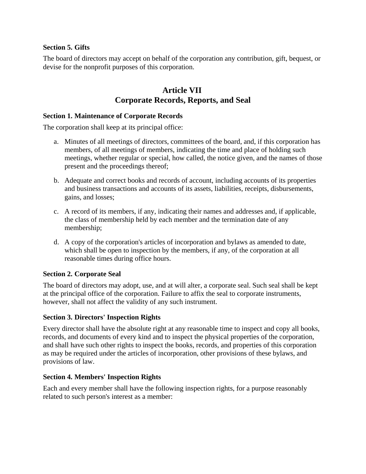### **Section 5. Gifts**

The board of directors may accept on behalf of the corporation any contribution, gift, bequest, or devise for the nonprofit purposes of this corporation.

## **Article VII Corporate Records, Reports, and Seal**

#### **Section 1. Maintenance of Corporate Records**

The corporation shall keep at its principal office:

- a. Minutes of all meetings of directors, committees of the board, and, if this corporation has members, of all meetings of members, indicating the time and place of holding such meetings, whether regular or special, how called, the notice given, and the names of those present and the proceedings thereof;
- b. Adequate and correct books and records of account, including accounts of its properties and business transactions and accounts of its assets, liabilities, receipts, disbursements, gains, and losses;
- c. A record of its members, if any, indicating their names and addresses and, if applicable, the class of membership held by each member and the termination date of any membership;
- d. A copy of the corporation's articles of incorporation and bylaws as amended to date, which shall be open to inspection by the members, if any, of the corporation at all reasonable times during office hours.

#### **Section 2. Corporate Seal**

The board of directors may adopt, use, and at will alter, a corporate seal. Such seal shall be kept at the principal office of the corporation. Failure to affix the seal to corporate instruments, however, shall not affect the validity of any such instrument.

#### **Section 3. Directors' Inspection Rights**

Every director shall have the absolute right at any reasonable time to inspect and copy all books, records, and documents of every kind and to inspect the physical properties of the corporation, and shall have such other rights to inspect the books, records, and properties of this corporation as may be required under the articles of incorporation, other provisions of these bylaws, and provisions of law.

#### **Section 4. Members' Inspection Rights**

Each and every member shall have the following inspection rights, for a purpose reasonably related to such person's interest as a member: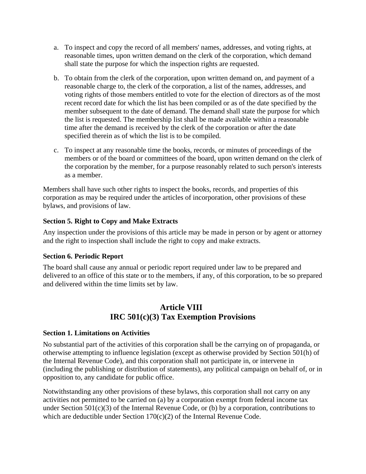- a. To inspect and copy the record of all members' names, addresses, and voting rights, at reasonable times, upon written demand on the clerk of the corporation, which demand shall state the purpose for which the inspection rights are requested.
- b. To obtain from the clerk of the corporation, upon written demand on, and payment of a reasonable charge to, the clerk of the corporation, a list of the names, addresses, and voting rights of those members entitled to vote for the election of directors as of the most recent record date for which the list has been compiled or as of the date specified by the member subsequent to the date of demand. The demand shall state the purpose for which the list is requested. The membership list shall be made available within a reasonable time after the demand is received by the clerk of the corporation or after the date specified therein as of which the list is to be compiled.
- c. To inspect at any reasonable time the books, records, or minutes of proceedings of the members or of the board or committees of the board, upon written demand on the clerk of the corporation by the member, for a purpose reasonably related to such person's interests as a member.

Members shall have such other rights to inspect the books, records, and properties of this corporation as may be required under the articles of incorporation, other provisions of these bylaws, and provisions of law.

## **Section 5. Right to Copy and Make Extracts**

Any inspection under the provisions of this article may be made in person or by agent or attorney and the right to inspection shall include the right to copy and make extracts.

## **Section 6. Periodic Report**

The board shall cause any annual or periodic report required under law to be prepared and delivered to an office of this state or to the members, if any, of this corporation, to be so prepared and delivered within the time limits set by law.

## **Article VIII IRC 501(c)(3) Tax Exemption Provisions**

## **Section 1. Limitations on Activities**

No substantial part of the activities of this corporation shall be the carrying on of propaganda, or otherwise attempting to influence legislation (except as otherwise provided by Section 501(h) of the Internal Revenue Code), and this corporation shall not participate in, or intervene in (including the publishing or distribution of statements), any political campaign on behalf of, or in opposition to, any candidate for public office.

Notwithstanding any other provisions of these bylaws, this corporation shall not carry on any activities not permitted to be carried on (a) by a corporation exempt from federal income tax under Section 501(c)(3) of the Internal Revenue Code, or (b) by a corporation, contributions to which are deductible under Section  $170(c)(2)$  of the Internal Revenue Code.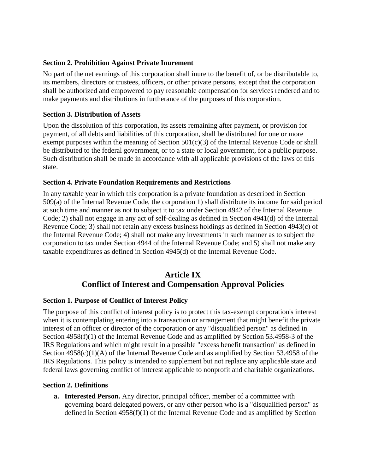#### **Section 2. Prohibition Against Private Inurement**

No part of the net earnings of this corporation shall inure to the benefit of, or be distributable to, its members, directors or trustees, officers, or other private persons, except that the corporation shall be authorized and empowered to pay reasonable compensation for services rendered and to make payments and distributions in furtherance of the purposes of this corporation.

#### **Section 3. Distribution of Assets**

Upon the dissolution of this corporation, its assets remaining after payment, or provision for payment, of all debts and liabilities of this corporation, shall be distributed for one or more exempt purposes within the meaning of Section 501(c)(3) of the Internal Revenue Code or shall be distributed to the federal government, or to a state or local government, for a public purpose. Such distribution shall be made in accordance with all applicable provisions of the laws of this state.

#### **Section 4. Private Foundation Requirements and Restrictions**

In any taxable year in which this corporation is a private foundation as described in Section 509(a) of the Internal Revenue Code, the corporation 1) shall distribute its income for said period at such time and manner as not to subject it to tax under Section 4942 of the Internal Revenue Code; 2) shall not engage in any act of self-dealing as defined in Section 4941(d) of the Internal Revenue Code; 3) shall not retain any excess business holdings as defined in Section 4943(c) of the Internal Revenue Code; 4) shall not make any investments in such manner as to subject the corporation to tax under Section 4944 of the Internal Revenue Code; and 5) shall not make any taxable expenditures as defined in Section 4945(d) of the Internal Revenue Code.

## **Article IX Conflict of Interest and Compensation Approval Policies**

#### **Section 1. Purpose of Conflict of Interest Policy**

The purpose of this conflict of interest policy is to protect this tax-exempt corporation's interest when it is contemplating entering into a transaction or arrangement that might benefit the private interest of an officer or director of the corporation or any "disqualified person" as defined in Section 4958(f)(1) of the Internal Revenue Code and as amplified by Section 53.4958-3 of the IRS Regulations and which might result in a possible "excess benefit transaction" as defined in Section 4958(c)(1)(A) of the Internal Revenue Code and as amplified by Section 53.4958 of the IRS Regulations. This policy is intended to supplement but not replace any applicable state and federal laws governing conflict of interest applicable to nonprofit and charitable organizations.

#### **Section 2. Definitions**

**a.** Interested Person. Any director, principal officer, member of a committee with governing board delegated powers, or any other person who is a "disqualified person" as defined in Section 4958(f)(1) of the Internal Revenue Code and as amplified by Section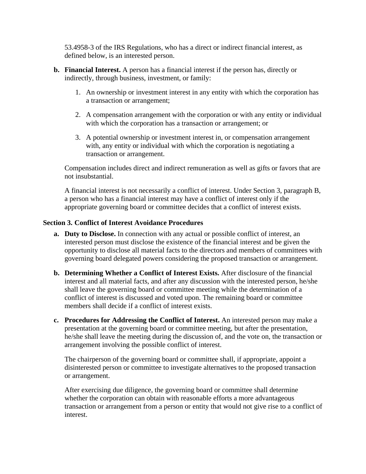53.4958-3 of the IRS Regulations, who has a direct or indirect financial interest, as defined below, is an interested person.

- **b. Financial Interest.** A person has a financial interest if the person has, directly or indirectly, through business, investment, or family:
	- 1. An ownership or investment interest in any entity with which the corporation has a transaction or arrangement;
	- 2. A compensation arrangement with the corporation or with any entity or individual with which the corporation has a transaction or arrangement; or
	- 3. A potential ownership or investment interest in, or compensation arrangement with, any entity or individual with which the corporation is negotiating a transaction or arrangement.

Compensation includes direct and indirect remuneration as well as gifts or favors that are not insubstantial.

A financial interest is not necessarily a conflict of interest. Under Section 3, paragraph B, a person who has a financial interest may have a conflict of interest only if the appropriate governing board or committee decides that a conflict of interest exists.

#### **Section 3. Conflict of Interest Avoidance Procedures**

- **a. Duty to Disclose.** In connection with any actual or possible conflict of interest, an interested person must disclose the existence of the financial interest and be given the opportunity to disclose all material facts to the directors and members of committees with governing board delegated powers considering the proposed transaction or arrangement.
- **b. Determining Whether a Conflict of Interest Exists.** After disclosure of the financial interest and all material facts, and after any discussion with the interested person, he/she shall leave the governing board or committee meeting while the determination of a conflict of interest is discussed and voted upon. The remaining board or committee members shall decide if a conflict of interest exists.
- **c. Procedures for Addressing the Conflict of Interest.** An interested person may make a presentation at the governing board or committee meeting, but after the presentation, he/she shall leave the meeting during the discussion of, and the vote on, the transaction or arrangement involving the possible conflict of interest.

The chairperson of the governing board or committee shall, if appropriate, appoint a disinterested person or committee to investigate alternatives to the proposed transaction or arrangement.

After exercising due diligence, the governing board or committee shall determine whether the corporation can obtain with reasonable efforts a more advantageous transaction or arrangement from a person or entity that would not give rise to a conflict of interest.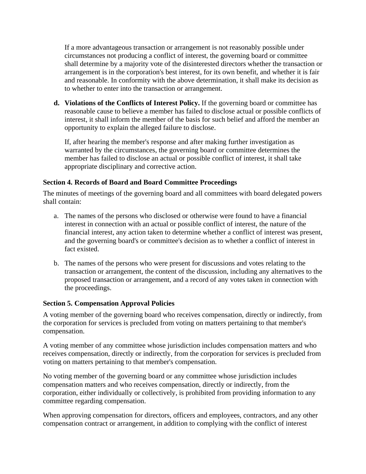If a more advantageous transaction or arrangement is not reasonably possible under circumstances not producing a conflict of interest, the governing board or committee shall determine by a majority vote of the disinterested directors whether the transaction or arrangement is in the corporation's best interest, for its own benefit, and whether it is fair and reasonable. In conformity with the above determination, it shall make its decision as to whether to enter into the transaction or arrangement.

**d. Violations of the Conflicts of Interest Policy.** If the governing board or committee has reasonable cause to believe a member has failed to disclose actual or possible conflicts of interest, it shall inform the member of the basis for such belief and afford the member an opportunity to explain the alleged failure to disclose.

If, after hearing the member's response and after making further investigation as warranted by the circumstances, the governing board or committee determines the member has failed to disclose an actual or possible conflict of interest, it shall take appropriate disciplinary and corrective action.

#### **Section 4. Records of Board and Board Committee Proceedings**

The minutes of meetings of the governing board and all committees with board delegated powers shall contain:

- a. The names of the persons who disclosed or otherwise were found to have a financial interest in connection with an actual or possible conflict of interest, the nature of the financial interest, any action taken to determine whether a conflict of interest was present, and the governing board's or committee's decision as to whether a conflict of interest in fact existed.
- b. The names of the persons who were present for discussions and votes relating to the transaction or arrangement, the content of the discussion, including any alternatives to the proposed transaction or arrangement, and a record of any votes taken in connection with the proceedings.

#### **Section 5. Compensation Approval Policies**

A voting member of the governing board who receives compensation, directly or indirectly, from the corporation for services is precluded from voting on matters pertaining to that member's compensation.

A voting member of any committee whose jurisdiction includes compensation matters and who receives compensation, directly or indirectly, from the corporation for services is precluded from voting on matters pertaining to that member's compensation.

No voting member of the governing board or any committee whose jurisdiction includes compensation matters and who receives compensation, directly or indirectly, from the corporation, either individually or collectively, is prohibited from providing information to any committee regarding compensation.

When approving compensation for directors, officers and employees, contractors, and any other compensation contract or arrangement, in addition to complying with the conflict of interest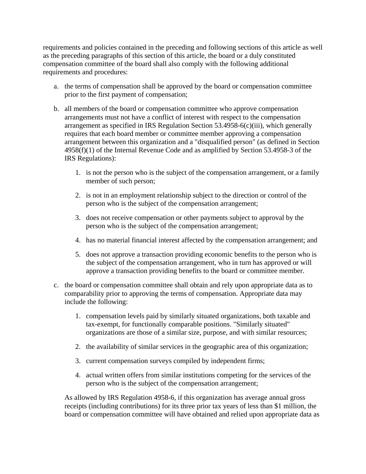requirements and policies contained in the preceding and following sections of this article as well as the preceding paragraphs of this section of this article, the board or a duly constituted compensation committee of the board shall also comply with the following additional requirements and procedures:

- a. the terms of compensation shall be approved by the board or compensation committee prior to the first payment of compensation;
- b. all members of the board or compensation committee who approve compensation arrangements must not have a conflict of interest with respect to the compensation arrangement as specified in IRS Regulation Section 53.4958-6(c)(iii), which generally requires that each board member or committee member approving a compensation arrangement between this organization and a "disqualified person" (as defined in Section  $4958(f)(1)$  of the Internal Revenue Code and as amplified by Section 53.4958-3 of the IRS Regulations):
	- 1. is not the person who is the subject of the compensation arrangement, or a family member of such person;
	- 2. is not in an employment relationship subject to the direction or control of the person who is the subject of the compensation arrangement;
	- 3. does not receive compensation or other payments subject to approval by the person who is the subject of the compensation arrangement;
	- 4. has no material financial interest affected by the compensation arrangement; and
	- 5. does not approve a transaction providing economic benefits to the person who is the subject of the compensation arrangement, who in turn has approved or will approve a transaction providing benefits to the board or committee member.
- c. the board or compensation committee shall obtain and rely upon appropriate data as to comparability prior to approving the terms of compensation. Appropriate data may include the following:
	- 1. compensation levels paid by similarly situated organizations, both taxable and tax-exempt, for functionally comparable positions. "Similarly situated" organizations are those of a similar size, purpose, and with similar resources;
	- 2. the availability of similar services in the geographic area of this organization;
	- 3. current compensation surveys compiled by independent firms;
	- 4. actual written offers from similar institutions competing for the services of the person who is the subject of the compensation arrangement;

As allowed by IRS Regulation 4958-6, if this organization has average annual gross receipts (including contributions) for its three prior tax years of less than \$1 million, the board or compensation committee will have obtained and relied upon appropriate data as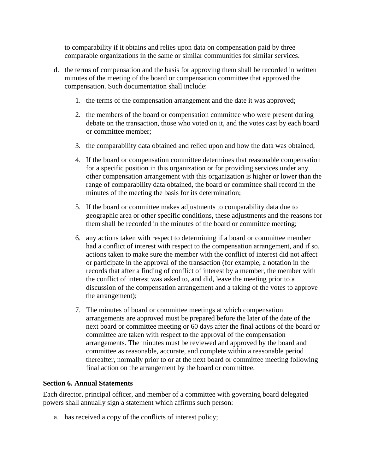to comparability if it obtains and relies upon data on compensation paid by three comparable organizations in the same or similar communities for similar services.

- d. the terms of compensation and the basis for approving them shall be recorded in written minutes of the meeting of the board or compensation committee that approved the compensation. Such documentation shall include:
	- 1. the terms of the compensation arrangement and the date it was approved;
	- 2. the members of the board or compensation committee who were present during debate on the transaction, those who voted on it, and the votes cast by each board or committee member;
	- 3. the comparability data obtained and relied upon and how the data was obtained;
	- 4. If the board or compensation committee determines that reasonable compensation for a specific position in this organization or for providing services under any other compensation arrangement with this organization is higher or lower than the range of comparability data obtained, the board or committee shall record in the minutes of the meeting the basis for its determination;
	- 5. If the board or committee makes adjustments to comparability data due to geographic area or other specific conditions, these adjustments and the reasons for them shall be recorded in the minutes of the board or committee meeting;
	- 6. any actions taken with respect to determining if a board or committee member had a conflict of interest with respect to the compensation arrangement, and if so, actions taken to make sure the member with the conflict of interest did not affect or participate in the approval of the transaction (for example, a notation in the records that after a finding of conflict of interest by a member, the member with the conflict of interest was asked to, and did, leave the meeting prior to a discussion of the compensation arrangement and a taking of the votes to approve the arrangement);
	- 7. The minutes of board or committee meetings at which compensation arrangements are approved must be prepared before the later of the date of the next board or committee meeting or 60 days after the final actions of the board or committee are taken with respect to the approval of the compensation arrangements. The minutes must be reviewed and approved by the board and committee as reasonable, accurate, and complete within a reasonable period thereafter, normally prior to or at the next board or committee meeting following final action on the arrangement by the board or committee.

#### **Section 6. Annual Statements**

Each director, principal officer, and member of a committee with governing board delegated powers shall annually sign a statement which affirms such person:

a. has received a copy of the conflicts of interest policy;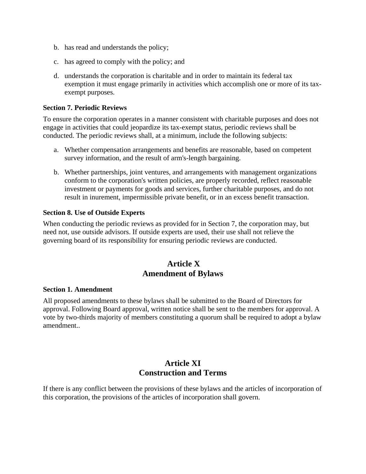- b. has read and understands the policy;
- c. has agreed to comply with the policy; and
- d. understands the corporation is charitable and in order to maintain its federal tax exemption it must engage primarily in activities which accomplish one or more of its taxexempt purposes.

#### **Section 7. Periodic Reviews**

To ensure the corporation operates in a manner consistent with charitable purposes and does not engage in activities that could jeopardize its tax-exempt status, periodic reviews shall be conducted. The periodic reviews shall, at a minimum, include the following subjects:

- a. Whether compensation arrangements and benefits are reasonable, based on competent survey information, and the result of arm's-length bargaining.
- b. Whether partnerships, joint ventures, and arrangements with management organizations conform to the corporation's written policies, are properly recorded, reflect reasonable investment or payments for goods and services, further charitable purposes, and do not result in inurement, impermissible private benefit, or in an excess benefit transaction.

#### **Section 8. Use of Outside Experts**

When conducting the periodic reviews as provided for in Section 7, the corporation may, but need not, use outside advisors. If outside experts are used, their use shall not relieve the governing board of its responsibility for ensuring periodic reviews are conducted.

## **Article X Amendment of Bylaws**

#### **Section 1. Amendment**

All proposed amendments to these bylaws shall be submitted to the Board of Directors for approval. Following Board approval, written notice shall be sent to the members for approval. A vote by two-thirds majority of members constituting a quorum shall be required to adopt a bylaw amendment..

## **Article XI Construction and Terms**

If there is any conflict between the provisions of these bylaws and the articles of incorporation of this corporation, the provisions of the articles of incorporation shall govern.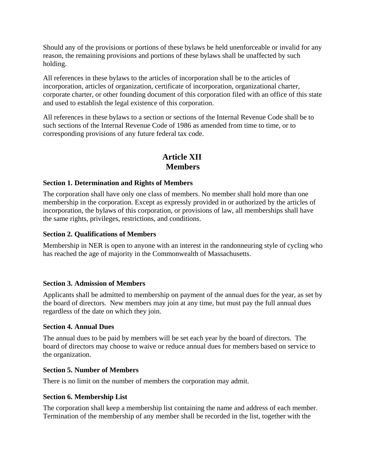Should any of the provisions or portions of these bylaws be held unenforceable or invalid for any reason, the remaining provisions and portions of these bylaws shall be unaffected by such holding.

All references in these bylaws to the articles of incorporation shall be to the articles of incorporation, articles of organization, certificate of incorporation, organizational charter, corporate charter, or other founding document of this corporation filed with an office of this state and used to establish the legal existence of this corporation.

All references in these bylaws to a section or sections of the Internal Revenue Code shall be to such sections of the Internal Revenue Code of 1986 as amended from time to time, or to corresponding provisions of any future federal tax code.

## **Article XII Members**

#### **Section 1. Determination and Rights of Members**

The corporation shall have only one class of members. No member shall hold more than one membership in the corporation. Except as expressly provided in or authorized by the articles of incorporation, the bylaws of this corporation, or provisions of law, all memberships shall have the same rights, privileges, restrictions, and conditions.

#### **Section 2. Qualifications of Members**

Membership in NER is open to anyone with an interest in the randonneuring style of cycling who has reached the age of majority in the Commonwealth of Massachusetts.

#### **Section 3. Admission of Members**

Applicants shall be admitted to membership on payment of the annual dues for the year, as set by the board of directors. New members may join at any time, but must pay the full annual dues regardless of the date on which they join.

#### **Section 4. Annual Dues**

The annual dues to be paid by members will be set each year by the board of directors. The board of directors may choose to waive or reduce annual dues for members based on service to the organization.

#### **Section 5. Number of Members**

There is no limit on the number of members the corporation may admit.

#### **Section 6. Membership List**

The corporation shall keep a membership list containing the name and address of each member. Termination of the membership of any member shall be recorded in the list, together with the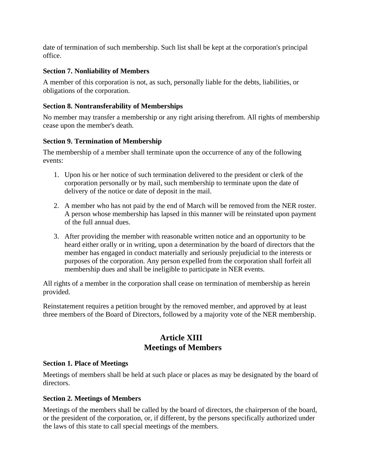date of termination of such membership. Such list shall be kept at the corporation's principal office.

### **Section 7. Nonliability of Members**

A member of this corporation is not, as such, personally liable for the debts, liabilities, or obligations of the corporation.

#### **Section 8. Nontransferability of Memberships**

No member may transfer a membership or any right arising therefrom. All rights of membership cease upon the member's death.

#### **Section 9. Termination of Membership**

The membership of a member shall terminate upon the occurrence of any of the following events:

- 1. Upon his or her notice of such termination delivered to the president or clerk of the corporation personally or by mail, such membership to terminate upon the date of delivery of the notice or date of deposit in the mail.
- 2. A member who has not paid by the end of March will be removed from the NER roster. A person whose membership has lapsed in this manner will be reinstated upon payment of the full annual dues.
- 3. After providing the member with reasonable written notice and an opportunity to be heard either orally or in writing, upon a determination by the board of directors that the member has engaged in conduct materially and seriously prejudicial to the interests or purposes of the corporation. Any person expelled from the corporation shall forfeit all membership dues and shall be ineligible to participate in NER events.

All rights of a member in the corporation shall cease on termination of membership as herein provided.

Reinstatement requires a petition brought by the removed member, and approved by at least three members of the Board of Directors, followed by a majority vote of the NER membership.

## **Article XIII Meetings of Members**

#### **Section 1. Place of Meetings**

Meetings of members shall be held at such place or places as may be designated by the board of directors.

#### **Section 2. Meetings of Members**

Meetings of the members shall be called by the board of directors, the chairperson of the board, or the president of the corporation, or, if different, by the persons specifically authorized under the laws of this state to call special meetings of the members.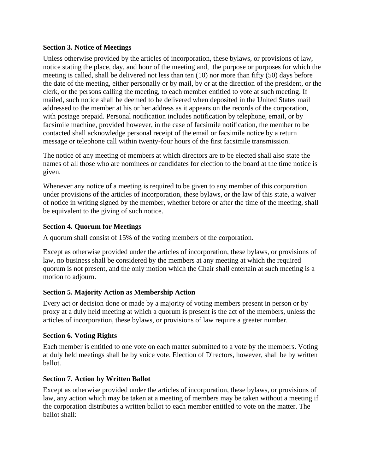#### **Section 3. Notice of Meetings**

Unless otherwise provided by the articles of incorporation, these bylaws, or provisions of law, notice stating the place, day, and hour of the meeting and, the purpose or purposes for which the meeting is called, shall be delivered not less than ten (10) nor more than fifty (50) days before the date of the meeting, either personally or by mail, by or at the direction of the president, or the clerk, or the persons calling the meeting, to each member entitled to vote at such meeting. If mailed, such notice shall be deemed to be delivered when deposited in the United States mail addressed to the member at his or her address as it appears on the records of the corporation, with postage prepaid. Personal notification includes notification by telephone, email, or by facsimile machine, provided however, in the case of facsimile notification, the member to be contacted shall acknowledge personal receipt of the email or facsimile notice by a return message or telephone call within twenty-four hours of the first facsimile transmission.

The notice of any meeting of members at which directors are to be elected shall also state the names of all those who are nominees or candidates for election to the board at the time notice is given.

Whenever any notice of a meeting is required to be given to any member of this corporation under provisions of the articles of incorporation, these bylaws, or the law of this state, a waiver of notice in writing signed by the member, whether before or after the time of the meeting, shall be equivalent to the giving of such notice.

#### **Section 4. Quorum for Meetings**

A quorum shall consist of 15% of the voting members of the corporation.

Except as otherwise provided under the articles of incorporation, these bylaws, or provisions of law, no business shall be considered by the members at any meeting at which the required quorum is not present, and the only motion which the Chair shall entertain at such meeting is a motion to adjourn.

## **Section 5. Majority Action as Membership Action**

Every act or decision done or made by a majority of voting members present in person or by proxy at a duly held meeting at which a quorum is present is the act of the members, unless the articles of incorporation, these bylaws, or provisions of law require a greater number.

## **Section 6. Voting Rights**

Each member is entitled to one vote on each matter submitted to a vote by the members. Voting at duly held meetings shall be by voice vote. Election of Directors, however, shall be by written ballot.

#### **Section 7. Action by Written Ballot**

Except as otherwise provided under the articles of incorporation, these bylaws, or provisions of law, any action which may be taken at a meeting of members may be taken without a meeting if the corporation distributes a written ballot to each member entitled to vote on the matter. The ballot shall: